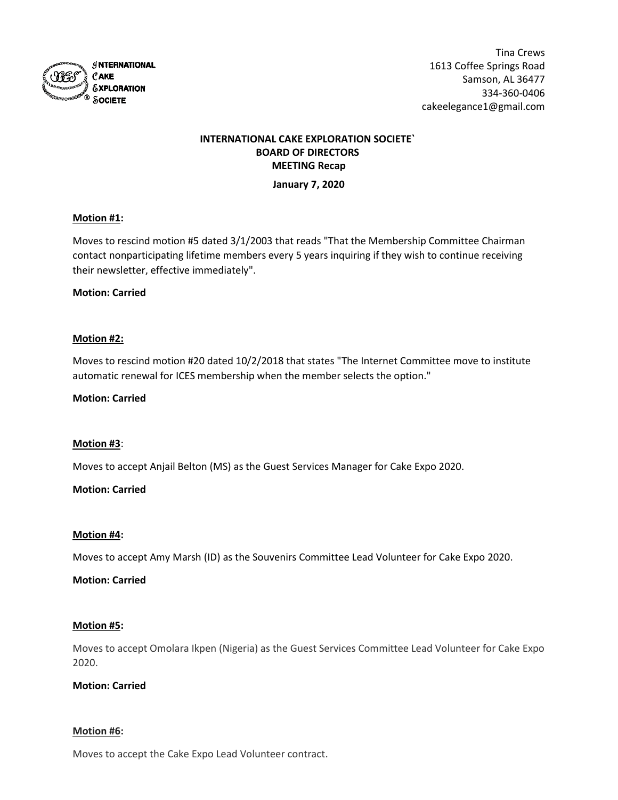

# **INTERNATIONAL CAKE EXPLORATION SOCIETE` BOARD OF DIRECTORS MEETING Recap**

## **January 7, 2020**

# **Motion #1:**

Moves to rescind motion #5 dated 3/1/2003 that reads "That the Membership Committee Chairman contact nonparticipating lifetime members every 5 years inquiring if they wish to continue receiving their newsletter, effective immediately".

## **Motion: Carried**

## **Motion #2:**

Moves to rescind motion #20 dated 10/2/2018 that states "The Internet Committee move to institute automatic renewal for ICES membership when the member selects the option."

## **Motion: Carried**

## **Motion #3**:

Moves to accept Anjail Belton (MS) as the Guest Services Manager for Cake Expo 2020.

## **Motion: Carried**

## **Motion #4:**

Moves to accept Amy Marsh (ID) as the Souvenirs Committee Lead Volunteer for Cake Expo 2020.

## **Motion: Carried**

## **Motion #5:**

Moves to accept Omolara Ikpen (Nigeria) as the Guest Services Committee Lead Volunteer for Cake Expo 2020.

## **Motion: Carried**

## **Motion #6:**

Moves to accept the Cake Expo Lead Volunteer contract.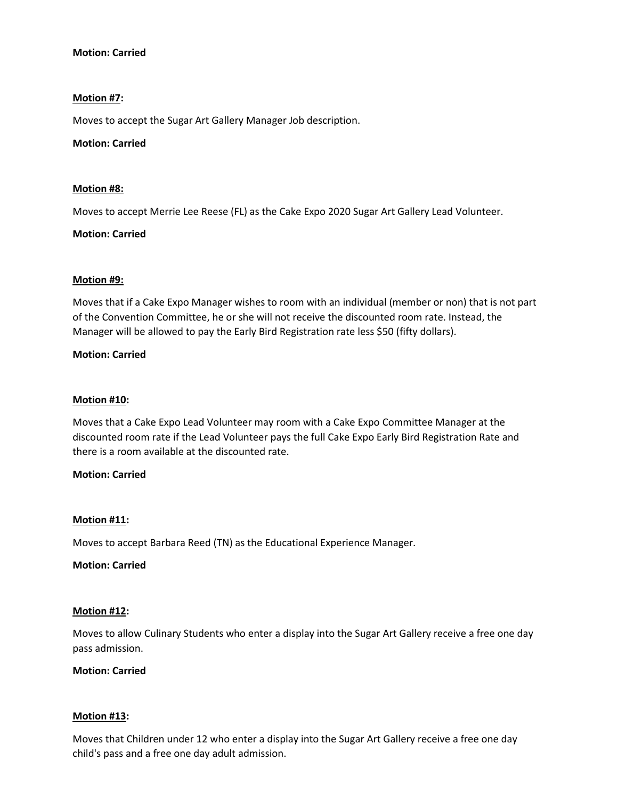# **Motion: Carried**

# **Motion #7:**

Moves to accept the Sugar Art Gallery Manager Job description.

## **Motion: Carried**

## **Motion #8:**

Moves to accept Merrie Lee Reese (FL) as the Cake Expo 2020 Sugar Art Gallery Lead Volunteer.

## **Motion: Carried**

## **Motion #9:**

Moves that if a Cake Expo Manager wishes to room with an individual (member or non) that is not part of the Convention Committee, he or she will not receive the discounted room rate. Instead, the Manager will be allowed to pay the Early Bird Registration rate less \$50 (fifty dollars).

## **Motion: Carried**

## **Motion #10:**

Moves that a Cake Expo Lead Volunteer may room with a Cake Expo Committee Manager at the discounted room rate if the Lead Volunteer pays the full Cake Expo Early Bird Registration Rate and there is a room available at the discounted rate.

## **Motion: Carried**

## **Motion #11:**

Moves to accept Barbara Reed (TN) as the Educational Experience Manager.

## **Motion: Carried**

## **Motion #12:**

Moves to allow Culinary Students who enter a display into the Sugar Art Gallery receive a free one day pass admission.

## **Motion: Carried**

## **Motion #13:**

Moves that Children under 12 who enter a display into the Sugar Art Gallery receive a free one day child's pass and a free one day adult admission.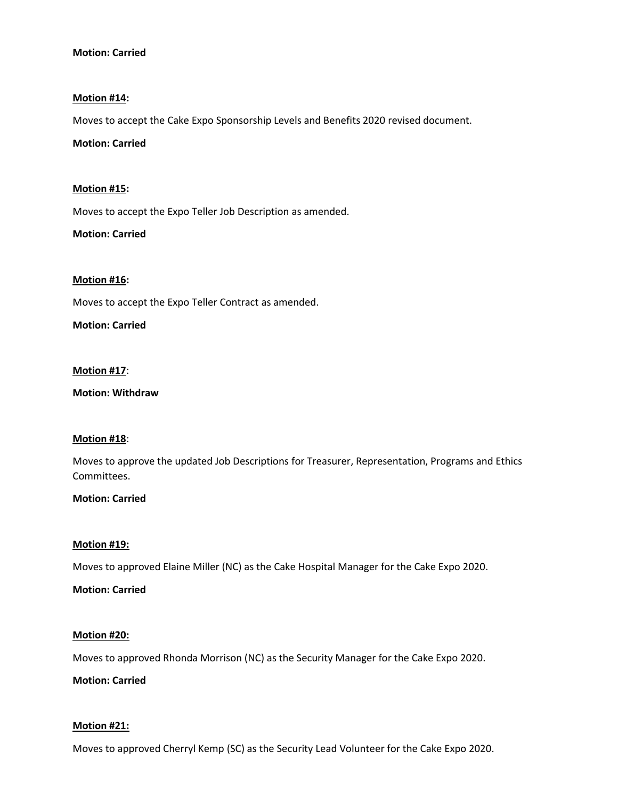# **Motion: Carried**

## **Motion #14:**

Moves to accept the Cake Expo Sponsorship Levels and Benefits 2020 revised document.

## **Motion: Carried**

## **Motion #15:**

Moves to accept the Expo Teller Job Description as amended.

**Motion: Carried**

## **Motion #16:**

Moves to accept the Expo Teller Contract as amended.

## **Motion: Carried**

# **Motion #17**:

**Motion: Withdraw**

## **Motion #18**:

Moves to approve the updated Job Descriptions for Treasurer, Representation, Programs and Ethics Committees.

## **Motion: Carried**

## **Motion #19:**

Moves to approved Elaine Miller (NC) as the Cake Hospital Manager for the Cake Expo 2020.

## **Motion: Carried**

## **Motion #20:**

Moves to approved Rhonda Morrison (NC) as the Security Manager for the Cake Expo 2020.

**Motion: Carried**

## **Motion #21:**

Moves to approved Cherryl Kemp (SC) as the Security Lead Volunteer for the Cake Expo 2020.